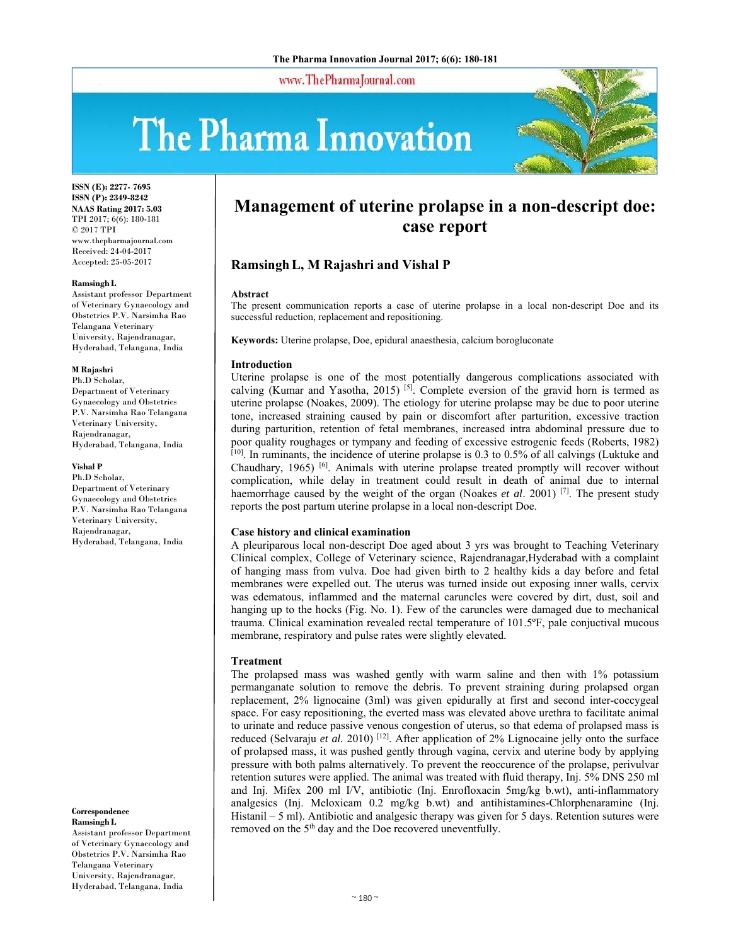www.ThePharmaJournal.com

# The Pharma Innovation



**ISSN (E): 2277- 7695 ISSN (P): 2349-8242 NAAS Rating 2017: 5.03** TPI 2017; 6(6): 180-181 © 2017 TPI www.thepharmajournal.com Received: 24-04-2017 Accepted: 25-05-2017

#### **Ramsingh L**

Assistant professor Department of Veterinary Gynaecology and Obstetrics P.V. Narsimha Rao Telangana Veterinary University, Rajendranagar, Hyderabad, Telangana, India

#### **M Rajashri**

Ph.D Scholar, Department of Veterinary Gynaecology and Obstetrics P.V. Narsimha Rao Telangana Veterinary University, Rajendranagar, Hyderabad, Telangana, India

#### **Vishal P**

Ph.D Scholar, Department of Veterinary Gynaecology and Obstetrics P.V. Narsimha Rao Telangana Veterinary University, Rajendranagar, Hyderabad, Telangana, India

**Correspondence Ramsingh L** 

Assistant professor Department of Veterinary Gynaecology and Obstetrics P.V. Narsimha Rao Telangana Veterinary University, Rajendranagar, Hyderabad, Telangana, India

# **Management of uterine prolapse in a non-descript doe: case report**

# **RamsinghL, M Rajashri and Vishal P**

#### **Abstract**

The present communication reports a case of uterine prolapse in a local non-descript Doe and its successful reduction, replacement and repositioning.

**Keywords:** Uterine prolapse, Doe, epidural anaesthesia, calcium borogluconate

#### **Introduction**

Uterine prolapse is one of the most potentially dangerous complications associated with calving (Kumar and Yasotha, 2015) <sup>[5]</sup>. Complete eversion of the gravid horn is termed as uterine prolapse (Noakes, 2009). The etiology for uterine prolapse may be due to poor uterine tone, increased straining caused by pain or discomfort after parturition, excessive traction during parturition, retention of fetal membranes, increased intra abdominal pressure due to poor quality roughages or tympany and feeding of excessive estrogenic feeds (Roberts, 1982) [10]. In ruminants, the incidence of uterine prolapse is 0.3 to 0.5% of all calvings (Luktuke and Chaudhary, 1965) [6]. Animals with uterine prolapse treated promptly will recover without complication, while delay in treatment could result in death of animal due to internal haemorrhage caused by the weight of the organ (Noakes *et al*. 2001) [7]. The present study reports the post partum uterine prolapse in a local non-descript Doe.

# **Case history and clinical examination**

A pleuriparous local non-descript Doe aged about 3 yrs was brought to Teaching Veterinary Clinical complex, College of Veterinary science, Rajendranagar,Hyderabad with a complaint of hanging mass from vulva. Doe had given birth to 2 healthy kids a day before and fetal membranes were expelled out. The uterus was turned inside out exposing inner walls, cervix was edematous, inflammed and the maternal caruncles were covered by dirt, dust, soil and hanging up to the hocks (Fig. No. 1). Few of the caruncles were damaged due to mechanical trauma. Clinical examination revealed rectal temperature of 101.5ºF, pale conjuctival mucous membrane, respiratory and pulse rates were slightly elevated.

# **Treatment**

The prolapsed mass was washed gently with warm saline and then with 1% potassium permanganate solution to remove the debris. To prevent straining during prolapsed organ replacement, 2% lignocaine (3ml) was given epidurally at first and second inter-coccygeal space. For easy repositioning, the everted mass was elevated above urethra to facilitate animal to urinate and reduce passive venous congestion of uterus, so that edema of prolapsed mass is reduced (Selvaraju *et al.* 2010)<sup>[12]</sup>. After application of 2% Lignocaine jelly onto the surface of prolapsed mass, it was pushed gently through vagina, cervix and uterine body by applying pressure with both palms alternatively. To prevent the reoccurence of the prolapse, perivulvar retention sutures were applied. The animal was treated with fluid therapy, Inj. 5% DNS 250 ml and Inj. Mifex 200 ml I/V, antibiotic (Inj. Enrofloxacin 5mg/kg b.wt), anti-inflammatory analgesics (Inj. Meloxicam 0.2 mg/kg b.wt) and antihistamines-Chlorphenaramine (Inj. Histanil – 5 ml). Antibiotic and analgesic therapy was given for 5 days. Retention sutures were removed on the 5<sup>th</sup> day and the Doe recovered uneventfully.